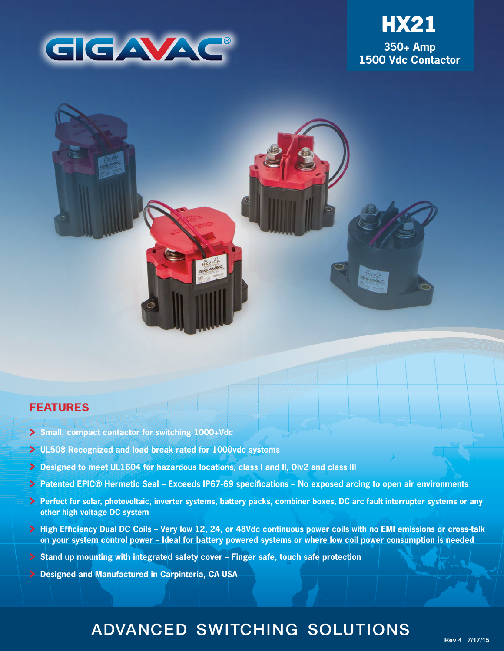





# **FEATURES**

- **Small, compact contactor for switching 1000+Vdc**
- **UL508 Recognized and load break rated for 1000vdc systems**
- **Designed to meet UL1604 for hazardous locations, class I and II, Div2 and class III**
- **Patented EPIC® Hermetic Seal Exceeds IP67-69 specifications No exposed arcing to open air environments**
- **Perfect for solar, photovoltaic, inverter systems, battery packs, combiner boxes, DC arc fault interrupter systems or any other high voltage DC system**
- **High Efficiency Dual DC Coils Very low 12, 24, or 48Vdc continuous power coils with no EMI emissions or cross-talk on your system control power – Ideal for battery powered systems or where low coil power consumption is needed**
- **Stand up mounting with integrated safety cover Finger safe, touch safe protection**
- **Designed and Manufactured in Carpinteria, CA USA**

# ADVANCED SWITCHING SOLUTIONS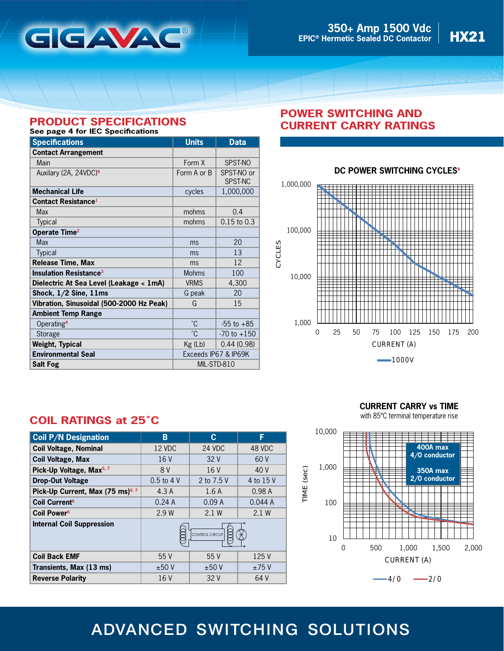

# **PRODUCT SPECIFICATIONS**

# **See page 4 for IEC Specifications**

| <b>Specifications</b>                    | <b>Units</b>         | <b>Data</b>           |
|------------------------------------------|----------------------|-----------------------|
| <b>Contact Arrangement</b>               |                      |                       |
| Main                                     | Form X               | SPST-NO               |
| Auxilary (2A, 24VDC) <sup>9</sup>        | Form A or B          | SPST-NO or<br>SPST-NC |
| <b>Mechanical Life</b>                   | cycles               | 1,000,000             |
| <b>Contact Resistance1</b>               |                      |                       |
| Max                                      | mohms                | 0.4                   |
| <b>Typical</b>                           | mohms                | $0.15$ to $0.3$       |
| Operate Time <sup>2</sup>                |                      |                       |
| <b>Max</b>                               | ms                   | 20                    |
| <b>Typical</b>                           | ms                   | 13                    |
| <b>Release Time, Max</b>                 | ms                   | 12                    |
| <b>Insulation Resistance<sup>3</sup></b> | <b>Mohms</b>         | 100                   |
| Dielectric At Sea Level (Leakage < 1mA)  | <b>VRMS</b>          | 4,300                 |
| Shock, $1/2$ Sine, $11ms$                | G peak               | 20                    |
| Vibration, Sinusoidal (500-2000 Hz Peak) | G                    | 15                    |
| <b>Ambient Temp Range</b>                |                      |                       |
| Operating <sup>4</sup>                   | °C.                  | $-55$ to $+85$        |
| Storage                                  | °С                   | $-70$ to $+150$       |
| <b>Weight, Typical</b>                   | Kg (Lb)              | 0.44(0.98)            |
| <b>Environmental Seal</b>                | Exceeds IP67 & IP69K |                       |
| <b>Salt Fog</b>                          | MIL-STD-810          |                       |

# **POWER SWITCHING AND CURRENT CARRY RATINGS**



### **DC POWER SWITCHING CYCLES<sup>8</sup>**

# **COIL RATINGS at 25˚C**

| <b>Coil P/N Designation</b>                  | В               | С          | F         |
|----------------------------------------------|-----------------|------------|-----------|
| <b>Coil Voltage, Nominal</b>                 | 12 VDC          | 24 VDC     | 48 VDC    |
| <b>Coil Voltage, Max</b>                     | 16V             | 32V        | 60 V      |
| Pick-Up Voltage, Max <sup>5, 7</sup>         | 8 V             | 16 V       | 40 V      |
| <b>Drop-Out Voltage</b>                      | $0.5$ to $4$ V  | 2 to 7.5 V | 4 to 15 V |
| Pick-Up Current, Max (75 ms) <sup>6, 7</sup> | 4.3A            | 1.6A       | 0.98A     |
| Coil Current <sup>6</sup>                    | 0.24A           | 0.09A      | 0.044A    |
| Coil Power <sup>6</sup>                      | 2.9 W           | 2.1W       | 2.1 W     |
| <b>Internal Coil Suppression</b>             | CONTROL CIRCUIT |            |           |
| <b>Coil Back EMF</b>                         | 55V             | 55V        | 125 V     |
| Transients, Max (13 ms)                      | ±50V            | ±50V       | ±75V      |
| <b>Reverse Polarity</b>                      | 16V             | 32V        | 64 V      |

**CURRENT CARRY vs TIME**

with 85ºC terminal temperature rise



# ADVANCED SWITCHING SOLUTIONS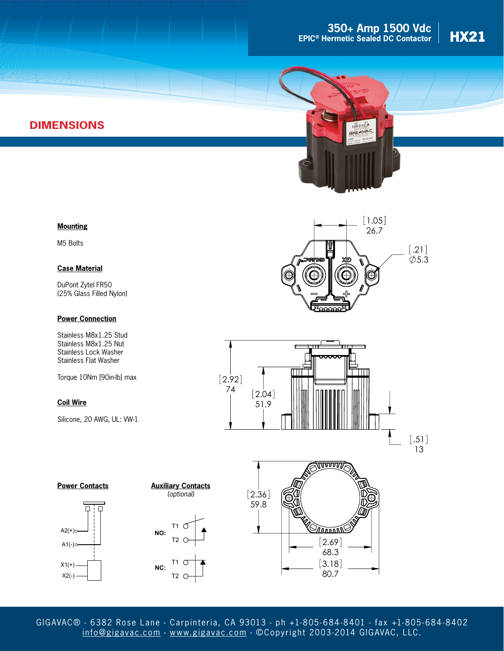# **350+ Amp 1500 Vdc**<br> **HX21 H EPIC® Hermetic Sealed DC Contactor**



# **DIMENSIONS**



### **Mounting**

M5 Bolts

#### **Case Material**

DuPont Zytel FR50 (25% Glass Filled Nylon)

#### **Power Connection**

Stainless M8x1.25 Stud Stainless M8x1.25 Nut Stainless Lock Washer Stainless Flat Washer

Torque 10Nm [90in-lb] max

### **Coil Wire**

Silicone, 20 AWG, UL: VW-1













GIGAVAC® - 6382 Rose Lane - Carpinteria, CA 93013 - ph +1-805- 684-8401 - fax +1-805- 684-8402 [info@gigavac.com](mailto:info@gigavac.com) - <www.gigavac.com> - ©Copyright 2003-2014 GIGAVAC, LLC.